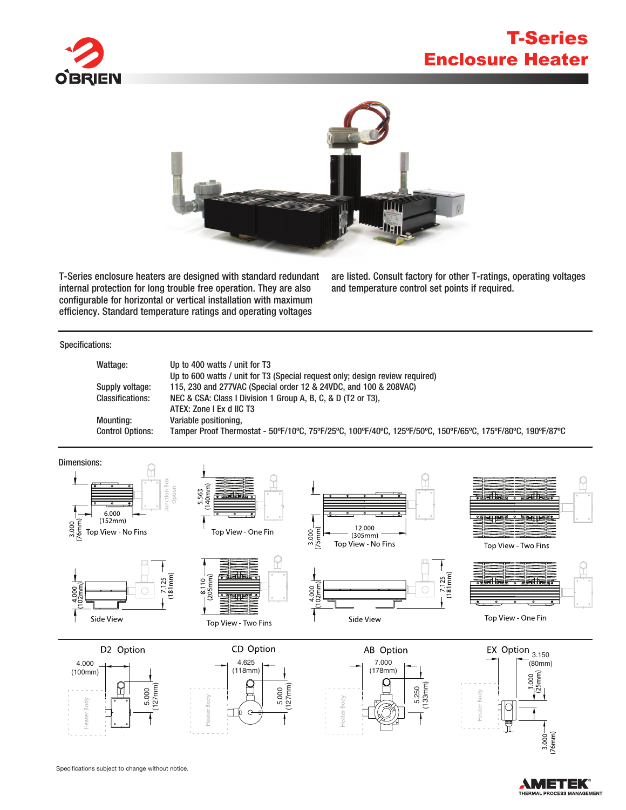

## T-Series Enclosure Heater



T-Series enclosure heaters are designed with standard redundant internal protection for long trouble free operation. They are also configurable for horizontal or vertical installation with maximum efficiency. Standard temperature ratings and operating voltages

(118mm)

are listed. Consult factory for other T-ratings, operating voltages and temperature control set points if required.

## (100mm) Specifications:

| Wattage:                | Up to 400 watts / unit for T3                                                                              |  |  |  |  |  |  |
|-------------------------|------------------------------------------------------------------------------------------------------------|--|--|--|--|--|--|
|                         | Up to 600 watts / unit for T3 (Special request only; design review required)                               |  |  |  |  |  |  |
| Supply voltage:         | 115, 230 and 277VAC (Special order 12 & 24VDC, and 100 & 208VAC)                                           |  |  |  |  |  |  |
| <b>Classifications:</b> | NEC & CSA: Class I Division 1 Group A, B, C, & D (T2 or T3),                                               |  |  |  |  |  |  |
|                         | ATEX: Zone I Ex d IIC T3                                                                                   |  |  |  |  |  |  |
| <b>Mounting:</b>        | Variable positioning,                                                                                      |  |  |  |  |  |  |
| <b>Control Options:</b> | Tamper Proof Thermostat - 50°F/10°C, 75°F/25°C, 100°F/40°C, 125°F/50°C, 150°F/65°C, 175°F/80°C, 190°F/87°C |  |  |  |  |  |  |
|                         |                                                                                                            |  |  |  |  |  |  |

(178mm)